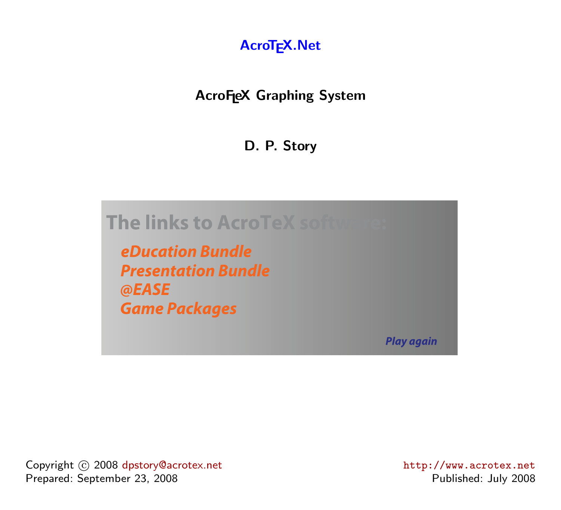

#### **AcroFeX Graphing System**

**D. P. Story**



**eDucation Bundle Presentation Bundle** @EASE **Game Packages** 

**Play again** 

Copyright  $\odot$  2008 [dpstory@acrotex.net](mailto:dpstory@acrotex.net) <http://www.acrotex.net> http://www.acrotex.net Prepared: September 23, 2008 **Published: July 2008** Published: July 2008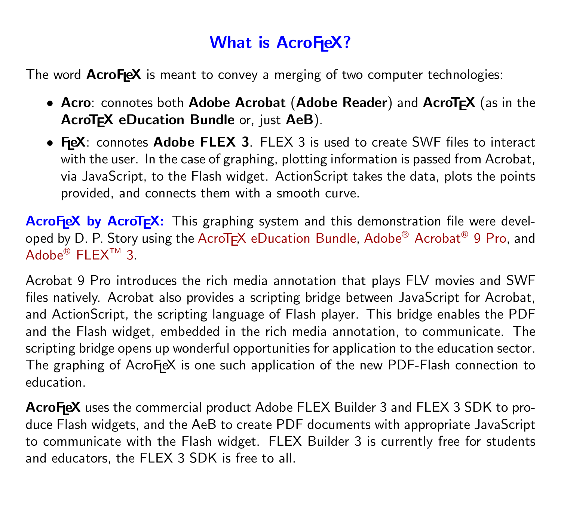## **What is AcroFieX?**

The word **AcroFeX** is meant to convey a merging of two computer technologies:

- **Acro**: connotes both **Adobe Acrobat** (**Adobe Reader**) and **AcroTEX** (as in the **AcroTEX eDucation Bundle** or, just **AeB**).
- FieX: connotes Adobe FLEX 3. FLEX 3 is used to create SWF files to interact with the user. In the case of graphing, plotting information is passed from Acrobat, via JavaScript, to the Flash widget. ActionScript takes the data, plots the points provided, and connects them with a smooth curve.

AcroF<sub>leX</sub> by AcroT<sub>F</sub>X: This graphing system and this demonstration file were devel-oped by D. P. Story using the AcroT<sub>E</sub>X eDucation Bundle, Adobe® [Acrobat](http://www.adobe.com/products/acrobat/)® 9 Pro, and  $\mathsf{Adobe}^\circledR \mathsf{FLEX}^{\mathsf{TM}}$  $\mathsf{Adobe}^\circledR \mathsf{FLEX}^{\mathsf{TM}}$  $\mathsf{Adobe}^\circledR \mathsf{FLEX}^{\mathsf{TM}}$  3.

Acrobat 9 Pro introduces the rich media annotation that plays FLV movies and SWF files natively. Acrobat also provides a scripting bridge between JavaScript for Acrobat, and ActionScript, the scripting language of Flash player. This bridge enables the PDF and the Flash widget, embedded in the rich media annotation, to communicate. The scripting bridge opens up wonderful opportunities for application to the education sector. The graphing of  $AcroF$ eX is one such application of the new PDF-Flash connection to education.

AcroFieX uses the commercial product Adobe FLEX Builder 3 and FLEX 3 SDK to produce Flash widgets, and the AeB to create PDF documents with appropriate JavaScript to communicate with the Flash widget. FLEX Builder 3 is currently free for students and educators, the FLEX 3 SDK is free to all.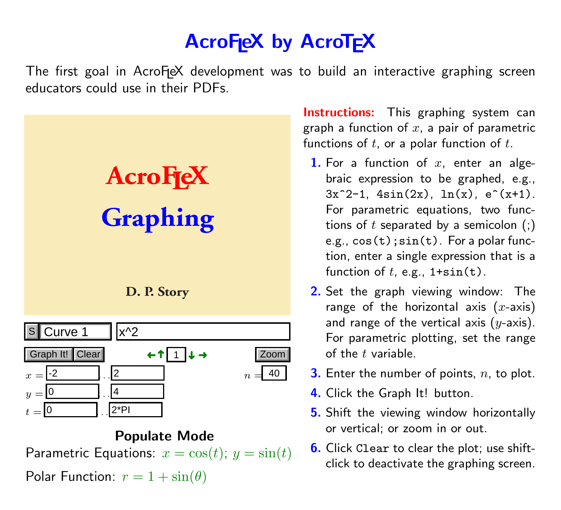# **AcroFIEX by AcroTFX**

The first goal in Acro $F \in X$  development was to build an interactive graphing screen educators could use in their PDFs.



#### **Populate Mode**

Parametric Equations:  $x = cos(t)$ ;  $y = sin(t)$ 

Polar Function:  $r = 1 + \sin(\theta)$ 

**Instructions:** This graphing system can graph a function of  $x$ , a pair of parametric functions of  $t$ , or a polar function of  $t$ .

- **1.** For a function of  $x$ , enter an algebraic expression to be graphed, e.g.,  $3x^2-1$ ,  $4\sin(2x)$ ,  $\ln(x)$ ,  $e^x(x+1)$ . For parametric equations, two functions of  $t$  separated by a semicolon  $($ ;) e.g.,  $cos(t)$ ;  $sin(t)$ . For a polar function, enter a single expression that is a function of  $t$ , e.g.,  $1+sin(t)$ .
- **2.** Set the graph viewing window: The range of the horizontal axis  $(x\text{-axis})$ and range of the vertical axis  $(y\text{-axis})$ . For parametric plotting, set the range of the  $t$  variable.
- **3.** Enter the number of points, n, to plot.
- **4.** Click the Graph It! button.
- **5.** Shift the viewing window horizontally or vertical; or zoom in or out.
- **6.** Click Clear to clear the plot; use shiftclick to deactivate the graphing screen.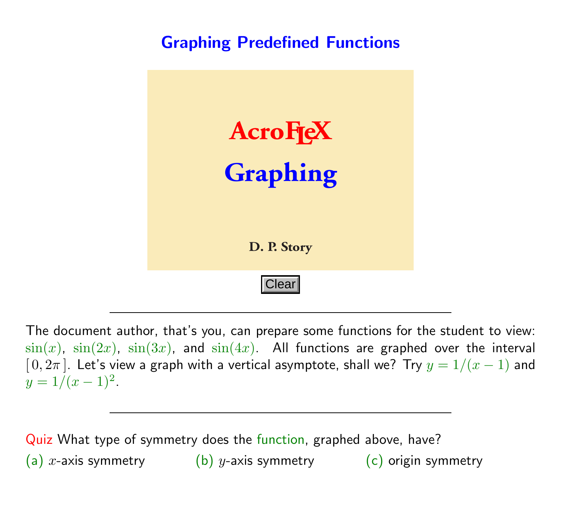### **Graphing Predefined Functions**



The document author, that's you, can prepare some functions for the student to view:  $\sin(x)$ ,  $\sin(2x)$ ,  $\sin(3x)$ , and  $\sin(4x)$ . All functions are graphed over the interval  $[0, 2\pi]$ . Let's view a graph with a vertical asymptote, shall we? Try  $y = 1/(x - 1)$  and  $y = 1/(x-1)^2$ .

Quiz What type of symmetry does the function, graphed above, have? (a) x-axis symmetry (b) y-axis symmetry (c) origin symmetry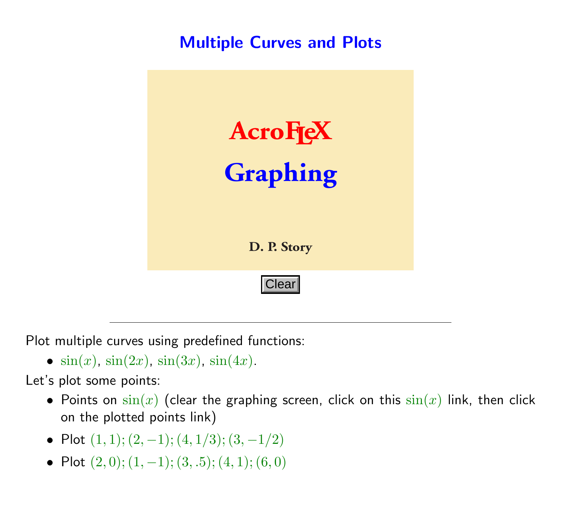#### **Multiple Curves and Plots**



Plot multiple curves using predefined functions:

•  $sin(x)$ ,  $sin(2x)$ ,  $sin(3x)$ ,  $sin(4x)$ .

Let's plot some points:

- Points on  $sin(x)$  (clear the graphing screen, click on this  $sin(x)$  link, then click on the plotted points link)
- Plot  $(1, 1)$ ;  $(2, -1)$ ;  $(4, 1/3)$ ;  $(3, -1/2)$
- Plot  $(2, 0)$ ;  $(1, -1)$ ;  $(3, .5)$ ;  $(4, 1)$ ;  $(6, 0)$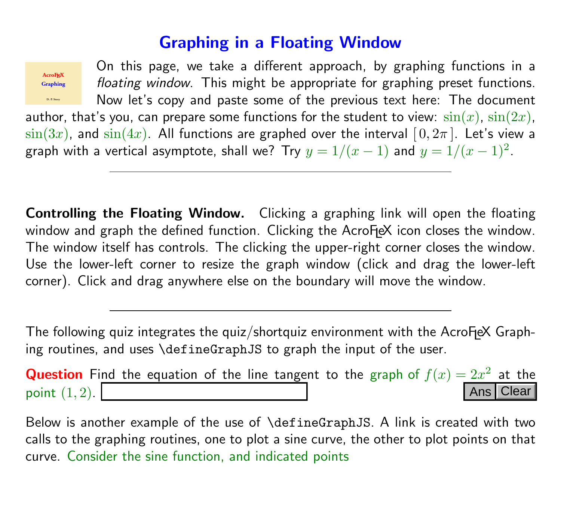#### **Graphing in a Floating Window**



On this page, we take a different approach, by graphing functions in a floating window. This might be appropriate for graphing preset functions. Now let's copy and paste some of the previous text here: The document

author, that's you, can prepare some functions for the student to view:  $\sin(x)$ ,  $\sin(2x)$ ,  $\sin(3x)$ , and  $\sin(4x)$ . All functions are graphed over the interval  $[0, 2\pi]$ . Let's view a graph with a vertical asymptote, shall we? Try  $y = 1/(x - 1)$  and  $y = 1/(x - 1)^2$ .

**Controlling the Floating Window.** Clicking a graphing link will open the floating window and graph the defined function. Clicking the AcroFeX icon closes the window. The window itself has controls. The clicking the upper-right corner closes the window. Use the lower-left corner to resize the graph window (click and drag the lower-left corner). Click and drag anywhere else on the boundary will move the window.

The following quiz integrates the quiz/shortquiz environment with the  $AcroF$ eX Graphing routines, and uses \defineGraphJS to graph the input of the user.

**Question** Find the equation of the line tangent to the graph of  $f(x)=2x^2$  at the point  $(1, 2)$ . Ans | Clear

Below is another example of the use of \defineGraphJS. A link is created with two calls to the graphing routines, one to plot a sine curve, the other to plot points on that curve. Consider the sine function, and indicated points